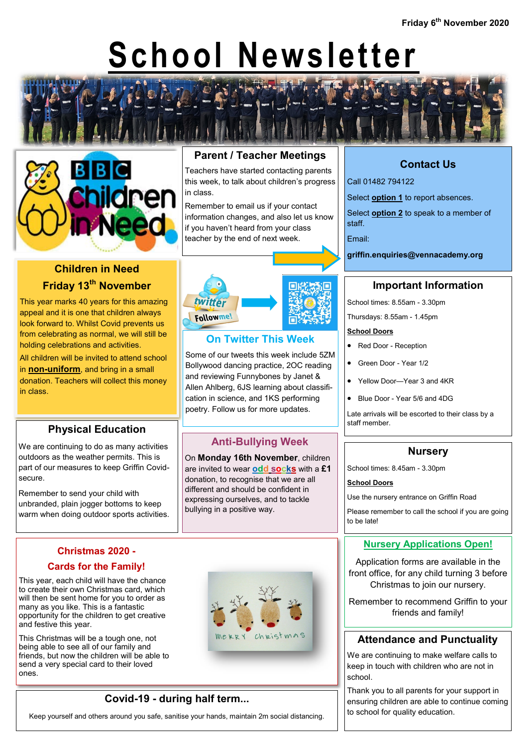# **School Newsletter**



#### **Parent / Teacher Meetings**

Teachers have started contacting parents this week, to talk about children's progress in class.

Remember to email us if your contact information changes, and also let us know if you haven't heard from your class teacher by the end of next week.



#### **On Twitter This Week**

Some of our tweets this week include 5ZM Bollywood dancing practice, 2OC reading and reviewing Funnybones by Janet & Allen Ahlberg, 6JS learning about classification in science, and 1KS performing poetry. Follow us for more updates.

#### **Anti-Bullying Week**

On **Monday 16th November**, children are invited to wear **odd socks** with a **£1**  donation, to recognise that we are all different and should be confident in expressing ourselves, and to tackle bullying in a positive way.



### **Contact Us**

Call 01482 794122

Select **option 1** to report absences.

Select **option 2** to speak to a member of staff.

Email:

**griffin.enquiries@vennacademy.org**

#### **Important Information**

School times: 8.55am - 3.30pm

Thursdays: 8.55am - 1.45pm

#### **School Doors**

- Red Door Reception
- Green Door Year 1/2
- Yellow Door—Year 3 and 4KR
- Blue Door Year 5/6 and 4DG

Late arrivals will be escorted to their class by a staff member.

#### **Nursery**

School times: 8.45am - 3.30pm

#### **School Doors**

Use the nursery entrance on Griffin Road

Please remember to call the school if you are going to be late!

#### **Nursery Applications Open!**

Application forms are available in the front office, for any child turning 3 before Christmas to join our nursery.

Remember to recommend Griffin to your friends and family!

#### **Attendance and Punctuality**

We are continuing to make welfare calls to keep in touch with children who are not in school.

Thank you to all parents for your support in ensuring children are able to continue coming to school for quality education.

# **Children in Need Friday 13th November**

This year marks 40 years for this amazing appeal and it is one that children always look forward to. Whilst Covid prevents us from celebrating as normal, we will still be holding celebrations and activities.

All children will be invited to attend school in **non-uniform**, and bring in a small donation. Teachers will collect this money in class.

#### **Physical Education**

We are continuing to do as many activities outdoors as the weather permits. This is part of our measures to keep Griffin Covidsecure.

Remember to send your child with unbranded, plain jogger bottoms to keep warm when doing outdoor sports activities.

# **Christmas 2020 -**

#### **Cards for the Family!**

This year, each child will have the chance to create their own Christmas card, which will then be sent home for you to order as many as you like. This is a fantastic opportunity for the children to get creative and festive this year.

This Christmas will be a tough one, not being able to see all of our family and friends, but now the children will be able to send a very special card to their loved ones.

#### **Covid-19 - during half term...**

Keep yourself and others around you safe, sanitise your hands, maintain 2m social distancing.